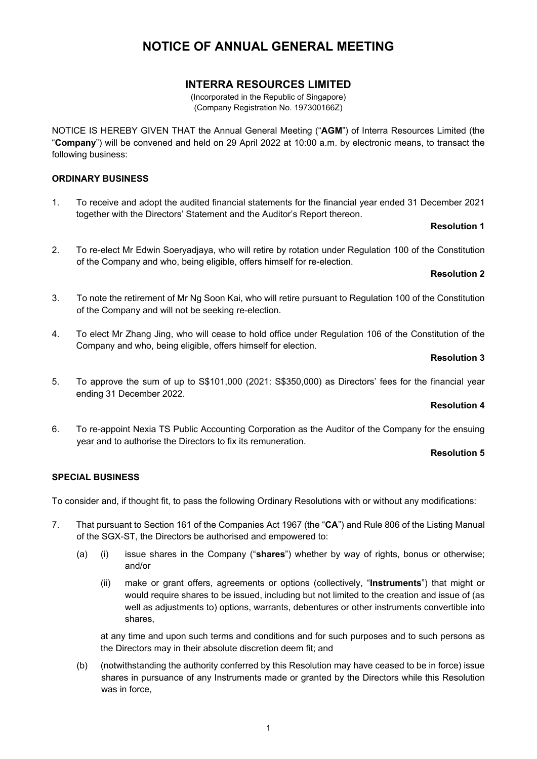# **INTERRA RESOURCES LIMITED**

(Incorporated in the Republic of Singapore) (Company Registration No. 197300166Z)

NOTICE IS HEREBY GIVEN THAT the Annual General Meeting ("**AGM**") of Interra Resources Limited (the "**Company**") will be convened and held on 29 April 2022 at 10:00 a.m. by electronic means, to transact the following business:

## **ORDINARY BUSINESS**

1. To receive and adopt the audited financial statements for the financial year ended 31 December 2021 together with the Directors' Statement and the Auditor's Report thereon.

### **Resolution 1**

2. To re-elect Mr Edwin Soeryadjaya, who will retire by rotation under Regulation 100 of the Constitution of the Company and who, being eligible, offers himself for re-election.

## **Resolution 2**

- 3. To note the retirement of Mr Ng Soon Kai, who will retire pursuant to Regulation 100 of the Constitution of the Company and will not be seeking re-election.
- 4. To elect Mr Zhang Jing, who will cease to hold office under Regulation 106 of the Constitution of the Company and who, being eligible, offers himself for election.

### **Resolution 3**

5. To approve the sum of up to S\$101,000 (2021: S\$350,000) as Directors' fees for the financial year ending 31 December 2022.

## **Resolution 4**

6. To re-appoint Nexia TS Public Accounting Corporation as the Auditor of the Company for the ensuing year and to authorise the Directors to fix its remuneration.

### **Resolution 5**

## **SPECIAL BUSINESS**

To consider and, if thought fit, to pass the following Ordinary Resolutions with or without any modifications:

- 7. That pursuant to Section 161 of the Companies Act 1967 (the "**CA**") and Rule 806 of the Listing Manual of the SGX-ST, the Directors be authorised and empowered to:
	- (a) (i) issue shares in the Company ("**shares**") whether by way of rights, bonus or otherwise; and/or
		- (ii) make or grant offers, agreements or options (collectively, "**Instruments**") that might or would require shares to be issued, including but not limited to the creation and issue of (as well as adjustments to) options, warrants, debentures or other instruments convertible into shares,

at any time and upon such terms and conditions and for such purposes and to such persons as the Directors may in their absolute discretion deem fit; and

(b) (notwithstanding the authority conferred by this Resolution may have ceased to be in force) issue shares in pursuance of any Instruments made or granted by the Directors while this Resolution was in force,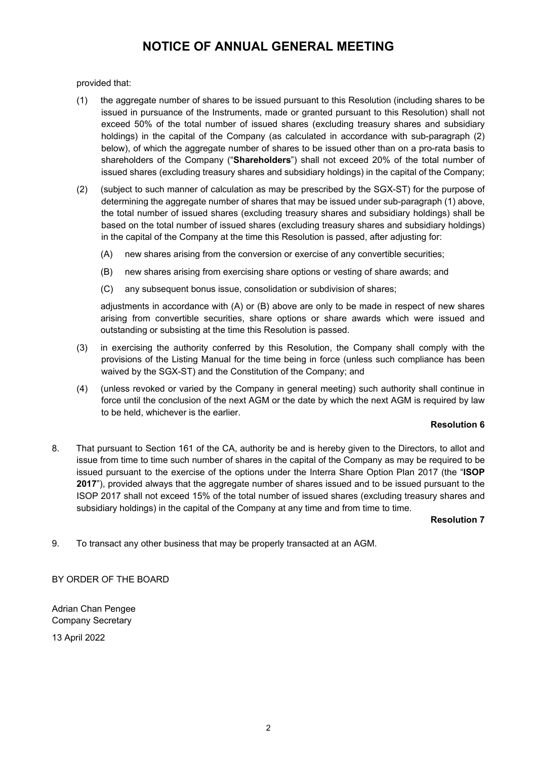provided that:

- (1) the aggregate number of shares to be issued pursuant to this Resolution (including shares to be issued in pursuance of the Instruments, made or granted pursuant to this Resolution) shall not exceed 50% of the total number of issued shares (excluding treasury shares and subsidiary holdings) in the capital of the Company (as calculated in accordance with sub-paragraph (2) below), of which the aggregate number of shares to be issued other than on a pro-rata basis to shareholders of the Company ("**Shareholders**") shall not exceed 20% of the total number of issued shares (excluding treasury shares and subsidiary holdings) in the capital of the Company;
- (2) (subject to such manner of calculation as may be prescribed by the SGX-ST) for the purpose of determining the aggregate number of shares that may be issued under sub-paragraph (1) above, the total number of issued shares (excluding treasury shares and subsidiary holdings) shall be based on the total number of issued shares (excluding treasury shares and subsidiary holdings) in the capital of the Company at the time this Resolution is passed, after adjusting for:
	- (A) new shares arising from the conversion or exercise of any convertible securities;
	- (B) new shares arising from exercising share options or vesting of share awards; and
	- (C) any subsequent bonus issue, consolidation or subdivision of shares;

adjustments in accordance with (A) or (B) above are only to be made in respect of new shares arising from convertible securities, share options or share awards which were issued and outstanding or subsisting at the time this Resolution is passed.

- (3) in exercising the authority conferred by this Resolution, the Company shall comply with the provisions of the Listing Manual for the time being in force (unless such compliance has been waived by the SGX-ST) and the Constitution of the Company; and
- (4) (unless revoked or varied by the Company in general meeting) such authority shall continue in force until the conclusion of the next AGM or the date by which the next AGM is required by law to be held, whichever is the earlier.

## **Resolution 6**

8. That pursuant to Section 161 of the CA, authority be and is hereby given to the Directors, to allot and issue from time to time such number of shares in the capital of the Company as may be required to be issued pursuant to the exercise of the options under the Interra Share Option Plan 2017 (the "**ISOP 2017**"), provided always that the aggregate number of shares issued and to be issued pursuant to the ISOP 2017 shall not exceed 15% of the total number of issued shares (excluding treasury shares and subsidiary holdings) in the capital of the Company at any time and from time to time.

**Resolution 7**

9. To transact any other business that may be properly transacted at an AGM.

BY ORDER OF THE BOARD

Adrian Chan Pengee Company Secretary

13 April 2022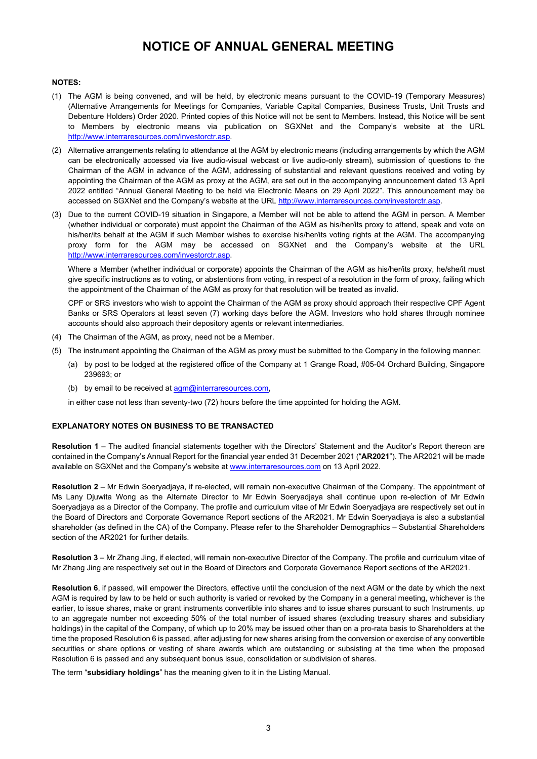#### **NOTES:**

- (1) The AGM is being convened, and will be held, by electronic means pursuant to the COVID-19 (Temporary Measures) (Alternative Arrangements for Meetings for Companies, Variable Capital Companies, Business Trusts, Unit Trusts and Debenture Holders) Order 2020. Printed copies of this Notice will not be sent to Members. Instead, this Notice will be sent to Members by electronic means via publication on SGXNet and the Company's website at the URL http://www.interraresources.com/investorctr.asp.
- (2) Alternative arrangements relating to attendance at the AGM by electronic means (including arrangements by which the AGM can be electronically accessed via live audio-visual webcast or live audio-only stream), submission of questions to the Chairman of the AGM in advance of the AGM, addressing of substantial and relevant questions received and voting by appointing the Chairman of the AGM as proxy at the AGM, are set out in the accompanying announcement dated 13 April 2022 entitled "Annual General Meeting to be held via Electronic Means on 29 April 2022". This announcement may be accessed on SGXNet and the Company's website at the URL http://www.interraresources.com/investorctr.asp.
- (3) Due to the current COVID-19 situation in Singapore, a Member will not be able to attend the AGM in person. A Member (whether individual or corporate) must appoint the Chairman of the AGM as his/her/its proxy to attend, speak and vote on his/her/its behalf at the AGM if such Member wishes to exercise his/her/its voting rights at the AGM. The accompanying proxy form for the AGM may be accessed on SGXNet and the Company's website at the URL http://www.interraresources.com/investorctr.asp.

Where a Member (whether individual or corporate) appoints the Chairman of the AGM as his/her/its proxy, he/she/it must give specific instructions as to voting, or abstentions from voting, in respect of a resolution in the form of proxy, failing which the appointment of the Chairman of the AGM as proxy for that resolution will be treated as invalid.

CPF or SRS investors who wish to appoint the Chairman of the AGM as proxy should approach their respective CPF Agent Banks or SRS Operators at least seven (7) working days before the AGM. Investors who hold shares through nominee accounts should also approach their depository agents or relevant intermediaries.

- (4) The Chairman of the AGM, as proxy, need not be a Member.
- (5) The instrument appointing the Chairman of the AGM as proxy must be submitted to the Company in the following manner:
	- (a) by post to be lodged at the registered office of the Company at 1 Grange Road, #05-04 Orchard Building, Singapore 239693; or
	- (b) by email to be received at  $\frac{agm@interraresources.com}{agm@interraresources.com}$

in either case not less than seventy-two (72) hours before the time appointed for holding the AGM.

### **EXPLANATORY NOTES ON BUSINESS TO BE TRANSACTED**

**Resolution 1** – The audited financial statements together with the Directors' Statement and the Auditor's Report thereon are contained in the Company's Annual Report for the financial year ended 31 December 2021 ("**AR2021**"). The AR2021 will be made available on SGXNet and the Company's website at www.interraresources.com on 13 April 2022.

**Resolution 2** – Mr Edwin Soeryadjaya, if re-elected, will remain non-executive Chairman of the Company. The appointment of Ms Lany Djuwita Wong as the Alternate Director to Mr Edwin Soeryadjaya shall continue upon re-election of Mr Edwin Soeryadjaya as a Director of the Company. The profile and curriculum vitae of Mr Edwin Soeryadjaya are respectively set out in the Board of Directors and Corporate Governance Report sections of the AR2021. Mr Edwin Soeryadjaya is also a substantial shareholder (as defined in the CA) of the Company. Please refer to the Shareholder Demographics – Substantial Shareholders section of the AR2021 for further details.

**Resolution 3** – Mr Zhang Jing, if elected, will remain non-executive Director of the Company. The profile and curriculum vitae of Mr Zhang Jing are respectively set out in the Board of Directors and Corporate Governance Report sections of the AR2021.

**Resolution 6**, if passed, will empower the Directors, effective until the conclusion of the next AGM or the date by which the next AGM is required by law to be held or such authority is varied or revoked by the Company in a general meeting, whichever is the earlier, to issue shares, make or grant instruments convertible into shares and to issue shares pursuant to such Instruments, up to an aggregate number not exceeding 50% of the total number of issued shares (excluding treasury shares and subsidiary holdings) in the capital of the Company, of which up to 20% may be issued other than on a pro-rata basis to Shareholders at the time the proposed Resolution 6 is passed, after adjusting for new shares arising from the conversion or exercise of any convertible securities or share options or vesting of share awards which are outstanding or subsisting at the time when the proposed Resolution 6 is passed and any subsequent bonus issue, consolidation or subdivision of shares.

The term "**subsidiary holdings**" has the meaning given to it in the Listing Manual.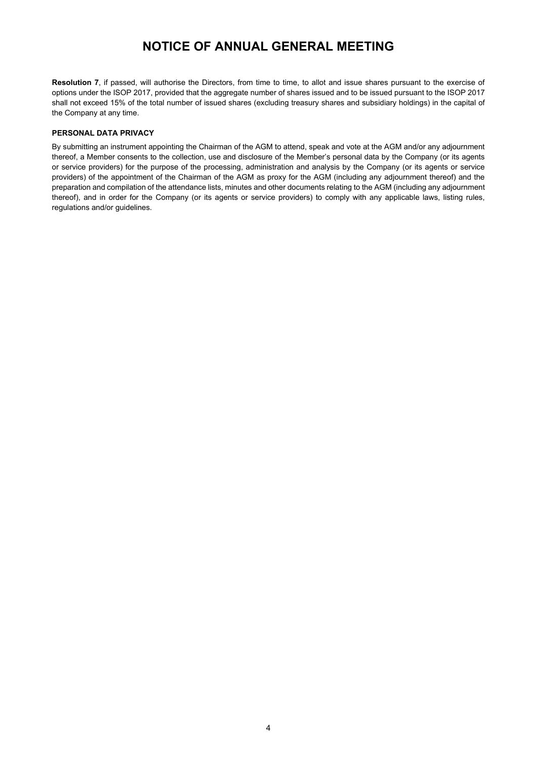**Resolution 7**, if passed, will authorise the Directors, from time to time, to allot and issue shares pursuant to the exercise of options under the ISOP 2017, provided that the aggregate number of shares issued and to be issued pursuant to the ISOP 2017 shall not exceed 15% of the total number of issued shares (excluding treasury shares and subsidiary holdings) in the capital of the Company at any time.

### **PERSONAL DATA PRIVACY**

By submitting an instrument appointing the Chairman of the AGM to attend, speak and vote at the AGM and/or any adjournment thereof, a Member consents to the collection, use and disclosure of the Member's personal data by the Company (or its agents or service providers) for the purpose of the processing, administration and analysis by the Company (or its agents or service providers) of the appointment of the Chairman of the AGM as proxy for the AGM (including any adjournment thereof) and the preparation and compilation of the attendance lists, minutes and other documents relating to the AGM (including any adjournment thereof), and in order for the Company (or its agents or service providers) to comply with any applicable laws, listing rules, regulations and/or guidelines.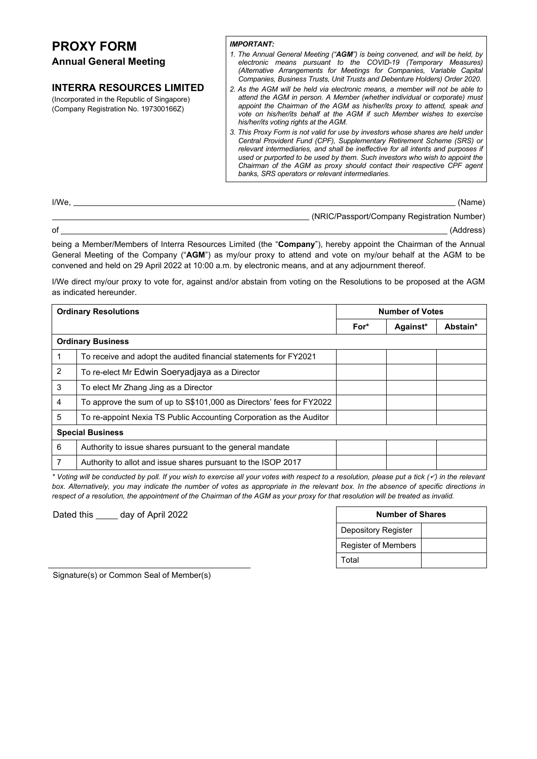# **PROXY FORM**

## **Annual General Meeting**

## **INTERRA RESOURCES LIMITED**

(Incorporated in the Republic of Singapore) (Company Registration No. 197300166Z)

### *IMPORTANT:*

*1. The Annual General Meeting ("AGM") is being convened, and will be held, by electronic means pursuant to the COVID-19 (Temporary Measures) (Alternative Arrangements for Meetings for Companies, Variable Capital Companies, Business Trusts, Unit Trusts and Debenture Holders) Order 2020.*

*2. As the AGM will be held via electronic means, a member will not be able to attend the AGM in person. A Member (whether individual or corporate) must appoint the Chairman of the AGM as his/her/its proxy to attend, speak and vote on his/her/its behalf at the AGM if such Member wishes to exercise his/her/its voting rights at the AGM.*

*3. This Proxy Form is not valid for use by investors whose shares are held under Central Provident Fund (CPF), Supplementary Retirement Scheme (SRS) or relevant intermediaries, and shall be ineffective for all intents and purposes if used or purported to be used by them. Such investors who wish to appoint the Chairman of the AGM as proxy should contact their respective CPF agent banks, SRS operators or relevant intermediaries.*

| (Name)                                      | I/We |
|---------------------------------------------|------|
| (NRIC/Passport/Company Registration Number) |      |
| (Address)                                   | оf   |

being a Member/Members of Interra Resources Limited (the "**Company**"), hereby appoint the Chairman of the Annual General Meeting of the Company ("**AGM**") as my/our proxy to attend and vote on my/our behalf at the AGM to be convened and held on 29 April 2022 at 10:00 a.m. by electronic means, and at any adjournment thereof.

I/We direct my/our proxy to vote for, against and/or abstain from voting on the Resolutions to be proposed at the AGM as indicated hereunder.

| <b>Ordinary Resolutions</b> |                                                                      | <b>Number of Votes</b> |          |          |  |  |
|-----------------------------|----------------------------------------------------------------------|------------------------|----------|----------|--|--|
|                             |                                                                      | For*                   | Against* | Abstain* |  |  |
| <b>Ordinary Business</b>    |                                                                      |                        |          |          |  |  |
| 1                           | To receive and adopt the audited financial statements for FY2021     |                        |          |          |  |  |
| 2                           | To re-elect Mr Edwin Soeryadjaya as a Director                       |                        |          |          |  |  |
| 3                           | To elect Mr Zhang Jing as a Director                                 |                        |          |          |  |  |
| 4                           | To approve the sum of up to S\$101,000 as Directors' fees for FY2022 |                        |          |          |  |  |
| 5                           | To re-appoint Nexia TS Public Accounting Corporation as the Auditor  |                        |          |          |  |  |
| <b>Special Business</b>     |                                                                      |                        |          |          |  |  |
| 6                           | Authority to issue shares pursuant to the general mandate            |                        |          |          |  |  |
| 7                           | Authority to allot and issue shares pursuant to the ISOP 2017        |                        |          |          |  |  |

*\* Voting will be conducted by poll. If you wish to exercise all your votes with respect to a resolution, please put a tick () in the relevant*  box. Alternatively, you may indicate the number of votes as appropriate in the relevant box. In the absence of specific directions in *respect of a resolution, the appointment of the Chairman of the AGM as your proxy for that resolution will be treated as invalid.*

Dated this \_\_\_\_\_ day of April 2022

| <b>Number of Shares</b>    |  |  |  |  |
|----------------------------|--|--|--|--|
| <b>Depository Register</b> |  |  |  |  |
| <b>Register of Members</b> |  |  |  |  |
| Total                      |  |  |  |  |

Signature(s) or Common Seal of Member(s)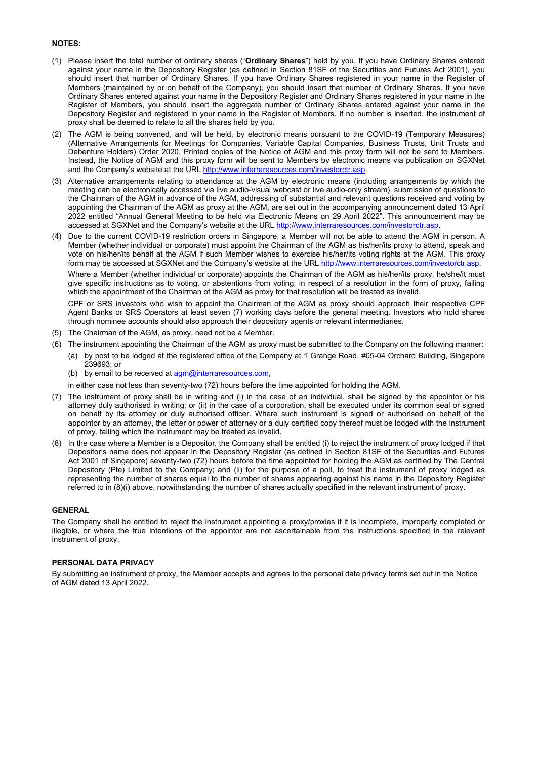#### **NOTES:**

- (1) Please insert the total number of ordinary shares ("**Ordinary Shares**") held by you. If you have Ordinary Shares entered against your name in the Depository Register (as defined in Section 81SF of the Securities and Futures Act 2001), you should insert that number of Ordinary Shares. If you have Ordinary Shares registered in your name in the Register of Members (maintained by or on behalf of the Company), you should insert that number of Ordinary Shares. If you have Ordinary Shares entered against your name in the Depository Register and Ordinary Shares registered in your name in the Register of Members, you should insert the aggregate number of Ordinary Shares entered against your name in the Depository Register and registered in your name in the Register of Members. If no number is inserted, the instrument of proxy shall be deemed to relate to all the shares held by you.
- (2) The AGM is being convened, and will be held, by electronic means pursuant to the COVID-19 (Temporary Measures) (Alternative Arrangements for Meetings for Companies, Variable Capital Companies, Business Trusts, Unit Trusts and Debenture Holders) Order 2020. Printed copies of the Notice of AGM and this proxy form will not be sent to Members. Instead, the Notice of AGM and this proxy form will be sent to Members by electronic means via publication on SGXNet and the Company's website at the URL http://www.interraresources.com/investorctr.asp.
- (3) Alternative arrangements relating to attendance at the AGM by electronic means (including arrangements by which the meeting can be electronically accessed via live audio-visual webcast or live audio-only stream), submission of questions to the Chairman of the AGM in advance of the AGM, addressing of substantial and relevant questions received and voting by appointing the Chairman of the AGM as proxy at the AGM, are set out in the accompanying announcement dated 13 April 2022 entitled "Annual General Meeting to be held via Electronic Means on 29 April 2022". This announcement may be accessed at SGXNet and the Company's website at the URL http://www.interraresources.com/investorctr.asp
- (4) Due to the current COVID-19 restriction orders in Singapore, a Member will not be able to attend the AGM in person. A Member (whether individual or corporate) must appoint the Chairman of the AGM as his/her/its proxy to attend, speak and vote on his/her/its behalf at the AGM if such Member wishes to exercise his/her/its voting rights at the AGM. This proxy form may be accessed at SGXNet and the Company's website at the URL http://www.interrare

Where a Member (whether individual or corporate) appoints the Chairman of the AGM as his/her/its proxy, he/she/it must give specific instructions as to voting, or abstentions from voting, in respect of a resolution in the form of proxy, failing which the appointment of the Chairman of the AGM as proxy for that resolution will be treated as invalid.

CPF or SRS investors who wish to appoint the Chairman of the AGM as proxy should approach their respective CPF Agent Banks or SRS Operators at least seven (7) working days before the general meeting. Investors who hold shares through nominee accounts should also approach their depository agents or relevant intermediaries.

- (5) The Chairman of the AGM, as proxy, need not be a Member.
- (6) The instrument appointing the Chairman of the AGM as proxy must be submitted to the Company on the following manner:
	- (a) by post to be lodged at the registered office of the Company at 1 Grange Road, #05-04 Orchard Building, Singapore 239693; or
	- (b) by email to be received at  $\frac{a}{a}$  interraresources.com,

in either case not less than seventy-two (72) hours before the time appointed for holding the AGM.

- (7) The instrument of proxy shall be in writing and (i) in the case of an individual, shall be signed by the appointor or his attorney duly authorised in writing; or (ii) in the case of a corporation, shall be executed under its common seal or signed on behalf by its attorney or duly authorised officer. Where such instrument is signed or authorised on behalf of the appointor by an attorney, the letter or power of attorney or a duly certified copy thereof must be lodged with the instrument of proxy, failing which the instrument may be treated as invalid.
- (8) In the case where a Member is a Depositor, the Company shall be entitled (i) to reject the instrument of proxy lodged if that Depositor's name does not appear in the Depository Register (as defined in Section 81SF of the Securities and Futures Act 2001 of Singapore) seventy-two (72) hours before the time appointed for holding the AGM as certified by The Central Depository (Pte) Limited to the Company; and (ii) for the purpose of a poll, to treat the instrument of proxy lodged as representing the number of shares equal to the number of shares appearing against his name in the Depository Register referred to in (8)(i) above, notwithstanding the number of shares actually specified in the relevant instrument of proxy.

#### **GENERAL**

The Company shall be entitled to reject the instrument appointing a proxy/proxies if it is incomplete, improperly completed or illegible, or where the true intentions of the appointor are not ascertainable from the instructions specified in the relevant instrument of proxy.

#### **PERSONAL DATA PRIVACY**

By submitting an instrument of proxy, the Member accepts and agrees to the personal data privacy terms set out in the Notice of AGM dated 13 April 2022.